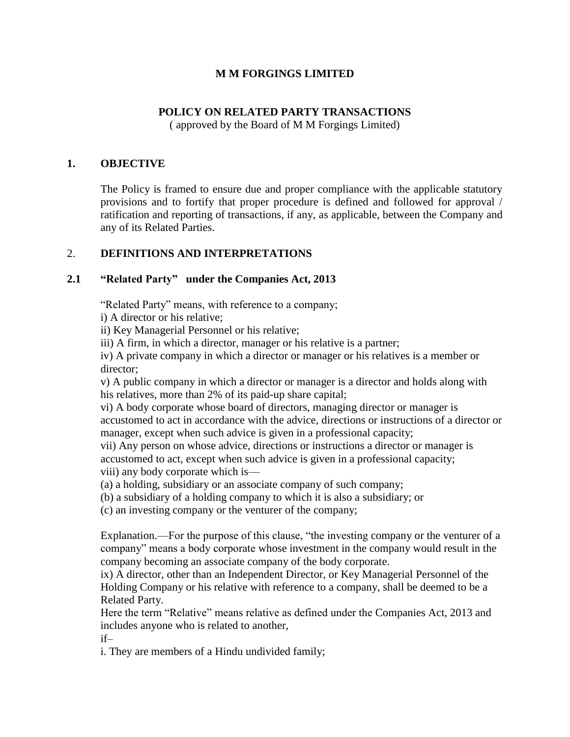### **M M FORGINGS LIMITED**

## **POLICY ON RELATED PARTY TRANSACTIONS**

( approved by the Board of M M Forgings Limited)

### **1. OBJECTIVE**

The Policy is framed to ensure due and proper compliance with the applicable statutory provisions and to fortify that proper procedure is defined and followed for approval / ratification and reporting of transactions, if any, as applicable, between the Company and any of its Related Parties.

#### 2. **DEFINITIONS AND INTERPRETATIONS**

## **2.1 "Related Party" under the Companies Act, 2013**

"Related Party" means, with reference to a company;

i) A director or his relative;

ii) Key Managerial Personnel or his relative;

iii) A firm, in which a director, manager or his relative is a partner;

iv) A private company in which a director or manager or his relatives is a member or director;

v) A public company in which a director or manager is a director and holds along with his relatives, more than 2% of its paid-up share capital;

vi) A body corporate whose board of directors, managing director or manager is accustomed to act in accordance with the advice, directions or instructions of a director or manager, except when such advice is given in a professional capacity;

vii) Any person on whose advice, directions or instructions a director or manager is accustomed to act, except when such advice is given in a professional capacity; viii) any body corporate which is—

(a) a holding, subsidiary or an associate company of such company;

(b) a subsidiary of a holding company to which it is also a subsidiary; or

(c) an investing company or the venturer of the company;

Explanation.—For the purpose of this clause, "the investing company or the venturer of a company" means a body corporate whose investment in the company would result in the company becoming an associate company of the body corporate.

ix) A director, other than an Independent Director, or Key Managerial Personnel of the Holding Company or his relative with reference to a company, shall be deemed to be a Related Party.

Here the term "Relative" means relative as defined under the Companies Act, 2013 and includes anyone who is related to another, if–

i. They are members of a Hindu undivided family;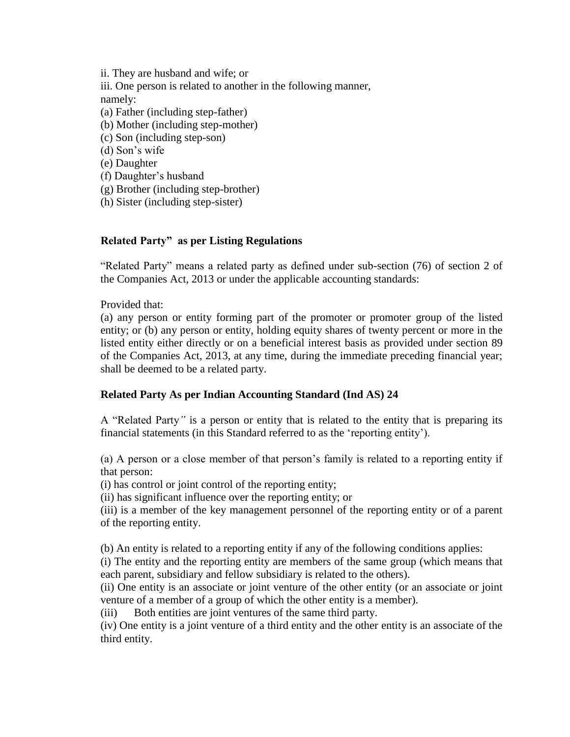ii. They are husband and wife; or iii. One person is related to another in the following manner, namely: (a) Father (including step-father) (b) Mother (including step-mother) (c) Son (including step-son) (d) Son's wife (e) Daughter (f) Daughter's husband (g) Brother (including step-brother) (h) Sister (including step-sister)

# **Related Party" as per Listing Regulations**

"Related Party" means a related party as defined under sub-section (76) of section 2 of the Companies Act, 2013 or under the applicable accounting standards:

Provided that:

(a) any person or entity forming part of the promoter or promoter group of the listed entity; or (b) any person or entity, holding equity shares of twenty percent or more in the listed entity either directly or on a beneficial interest basis as provided under section 89 of the Companies Act, 2013, at any time, during the immediate preceding financial year; shall be deemed to be a related party.

#### **Related Party As per Indian Accounting Standard (Ind AS) 24**

A "Related Party*"* is a person or entity that is related to the entity that is preparing its financial statements (in this Standard referred to as the 'reporting entity').

(a) A person or a close member of that person's family is related to a reporting entity if that person:

(i) has control or joint control of the reporting entity;

(ii) has significant influence over the reporting entity; or

(iii) is a member of the key management personnel of the reporting entity or of a parent of the reporting entity.

(b) An entity is related to a reporting entity if any of the following conditions applies:

(i) The entity and the reporting entity are members of the same group (which means that each parent, subsidiary and fellow subsidiary is related to the others).

(ii) One entity is an associate or joint venture of the other entity (or an associate or joint venture of a member of a group of which the other entity is a member).

(iii) Both entities are joint ventures of the same third party.

(iv) One entity is a joint venture of a third entity and the other entity is an associate of the third entity.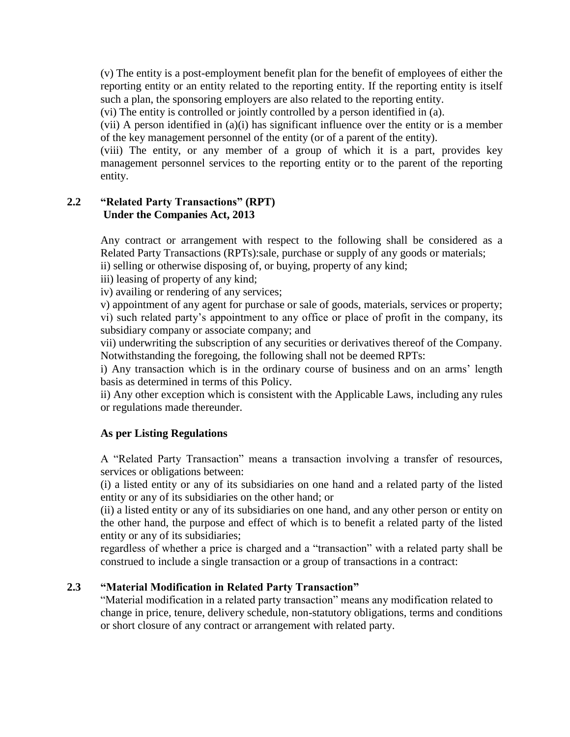(v) The entity is a post-employment benefit plan for the benefit of employees of either the reporting entity or an entity related to the reporting entity. If the reporting entity is itself such a plan, the sponsoring employers are also related to the reporting entity.

(vi) The entity is controlled or jointly controlled by a person identified in (a).

(vii) A person identified in (a)(i) has significant influence over the entity or is a member of the key management personnel of the entity (or of a parent of the entity).

(viii) The entity, or any member of a group of which it is a part, provides key management personnel services to the reporting entity or to the parent of the reporting entity.

#### **2.2 "Related Party Transactions" (RPT) Under the Companies Act, 2013**

Any contract or arrangement with respect to the following shall be considered as a Related Party Transactions (RPTs):sale, purchase or supply of any goods or materials; ii) selling or otherwise disposing of, or buying, property of any kind;

iii) leasing of property of any kind;

iv) availing or rendering of any services;

v) appointment of any agent for purchase or sale of goods, materials, services or property; vi) such related party's appointment to any office or place of profit in the company, its subsidiary company or associate company; and

vii) underwriting the subscription of any securities or derivatives thereof of the Company. Notwithstanding the foregoing, the following shall not be deemed RPTs:

i) Any transaction which is in the ordinary course of business and on an arms' length basis as determined in terms of this Policy.

ii) Any other exception which is consistent with the Applicable Laws, including any rules or regulations made thereunder.

#### **As per Listing Regulations**

A "Related Party Transaction" means a transaction involving a transfer of resources, services or obligations between:

(i) a listed entity or any of its subsidiaries on one hand and a related party of the listed entity or any of its subsidiaries on the other hand; or

(ii) a listed entity or any of its subsidiaries on one hand, and any other person or entity on the other hand, the purpose and effect of which is to benefit a related party of the listed entity or any of its subsidiaries;

regardless of whether a price is charged and a "transaction" with a related party shall be construed to include a single transaction or a group of transactions in a contract:

#### **2.3 "Material Modification in Related Party Transaction"**

"Material modification in a related party transaction" means any modification related to change in price, tenure, delivery schedule, non-statutory obligations, terms and conditions or short closure of any contract or arrangement with related party.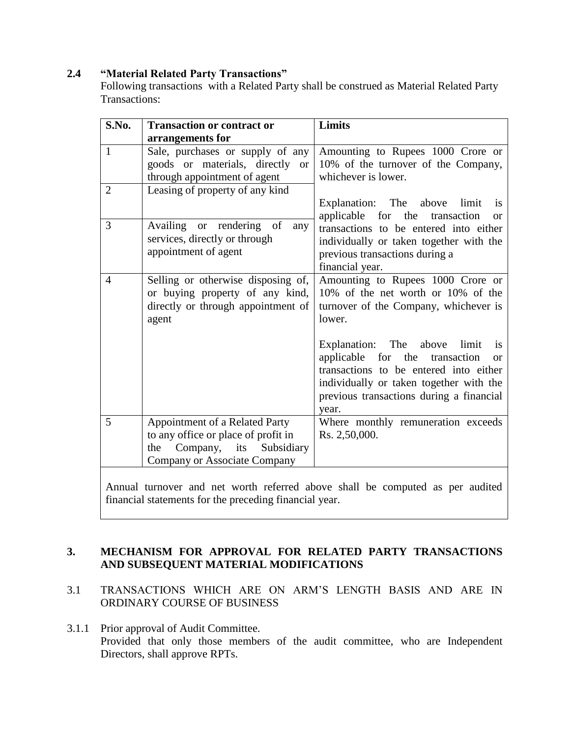### **2.4 "Material Related Party Transactions"**

Following transactions with a Related Party shall be construed as Material Related Party Transactions:

| S.No.          | <b>Transaction or contract or</b>   | Limits                                                                                |
|----------------|-------------------------------------|---------------------------------------------------------------------------------------|
|                | arrangements for                    |                                                                                       |
| $\mathbf{1}$   | Sale, purchases or supply of any    | Amounting to Rupees 1000 Crore or                                                     |
|                | goods or materials, directly or     | 10% of the turnover of the Company,                                                   |
|                | through appointment of agent        | whichever is lower.                                                                   |
| $\overline{2}$ | Leasing of property of any kind     |                                                                                       |
|                |                                     | Explanation: The above limit<br><i>is</i>                                             |
| 3              | Availing or rendering of<br>any     | applicable for the transaction<br><b>or</b><br>transactions to be entered into either |
|                | services, directly or through       | individually or taken together with the                                               |
|                | appointment of agent                | previous transactions during a                                                        |
|                |                                     | financial year.                                                                       |
| 4              | Selling or otherwise disposing of,  | Amounting to Rupees 1000 Crore or                                                     |
|                | or buying property of any kind,     | 10% of the net worth or 10% of the                                                    |
|                | directly or through appointment of  | turnover of the Company, whichever is                                                 |
|                | agent                               | lower.                                                                                |
|                |                                     |                                                                                       |
|                |                                     | Explanation: The above limit<br>is<br>applicable for the transaction<br>or            |
|                |                                     | transactions to be entered into either                                                |
|                |                                     | individually or taken together with the                                               |
|                |                                     | previous transactions during a financial                                              |
|                |                                     | year.                                                                                 |
| 5              | Appointment of a Related Party      | Where monthly remuneration exceeds                                                    |
|                | to any office or place of profit in | Rs. 2,50,000.                                                                         |
|                | Company, its Subsidiary<br>the      |                                                                                       |
|                | <b>Company or Associate Company</b> |                                                                                       |
|                |                                     |                                                                                       |

Annual turnover and net worth referred above shall be computed as per audited financial statements for the preceding financial year.

#### **3. MECHANISM FOR APPROVAL FOR RELATED PARTY TRANSACTIONS AND SUBSEQUENT MATERIAL MODIFICATIONS**

- 3.1 TRANSACTIONS WHICH ARE ON ARM'S LENGTH BASIS AND ARE IN ORDINARY COURSE OF BUSINESS
- 3.1.1 Prior approval of Audit Committee. Provided that only those members of the audit committee, who are Independent Directors, shall approve RPTs.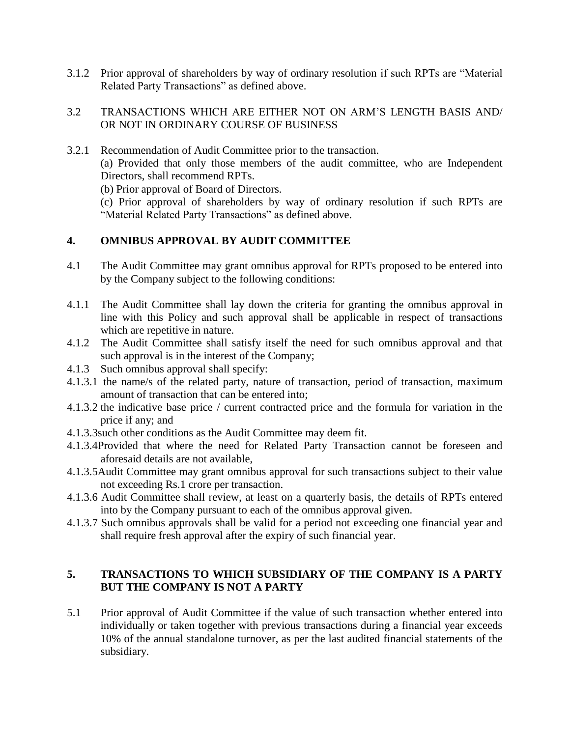3.1.2 Prior approval of shareholders by way of ordinary resolution if such RPTs are "Material Related Party Transactions" as defined above.

#### 3.2 TRANSACTIONS WHICH ARE EITHER NOT ON ARM'S LENGTH BASIS AND/ OR NOT IN ORDINARY COURSE OF BUSINESS

3.2.1 Recommendation of Audit Committee prior to the transaction.

(a) Provided that only those members of the audit committee, who are Independent Directors, shall recommend RPTs.

(b) Prior approval of Board of Directors.

(c) Prior approval of shareholders by way of ordinary resolution if such RPTs are "Material Related Party Transactions" as defined above.

#### **4. OMNIBUS APPROVAL BY AUDIT COMMITTEE**

- 4.1 The Audit Committee may grant omnibus approval for RPTs proposed to be entered into by the Company subject to the following conditions:
- 4.1.1 The Audit Committee shall lay down the criteria for granting the omnibus approval in line with this Policy and such approval shall be applicable in respect of transactions which are repetitive in nature.
- 4.1.2 The Audit Committee shall satisfy itself the need for such omnibus approval and that such approval is in the interest of the Company;
- 4.1.3 Such omnibus approval shall specify:
- 4.1.3.1 the name/s of the related party, nature of transaction, period of transaction, maximum amount of transaction that can be entered into;
- 4.1.3.2 the indicative base price / current contracted price and the formula for variation in the price if any; and
- 4.1.3.3such other conditions as the Audit Committee may deem fit.
- 4.1.3.4Provided that where the need for Related Party Transaction cannot be foreseen and aforesaid details are not available,
- 4.1.3.5Audit Committee may grant omnibus approval for such transactions subject to their value not exceeding Rs.1 crore per transaction.
- 4.1.3.6 Audit Committee shall review, at least on a quarterly basis, the details of RPTs entered into by the Company pursuant to each of the omnibus approval given.
- 4.1.3.7 Such omnibus approvals shall be valid for a period not exceeding one financial year and shall require fresh approval after the expiry of such financial year.

## **5. TRANSACTIONS TO WHICH SUBSIDIARY OF THE COMPANY IS A PARTY BUT THE COMPANY IS NOT A PARTY**

5.1 Prior approval of Audit Committee if the value of such transaction whether entered into individually or taken together with previous transactions during a financial year exceeds 10% of the annual standalone turnover, as per the last audited financial statements of the subsidiary.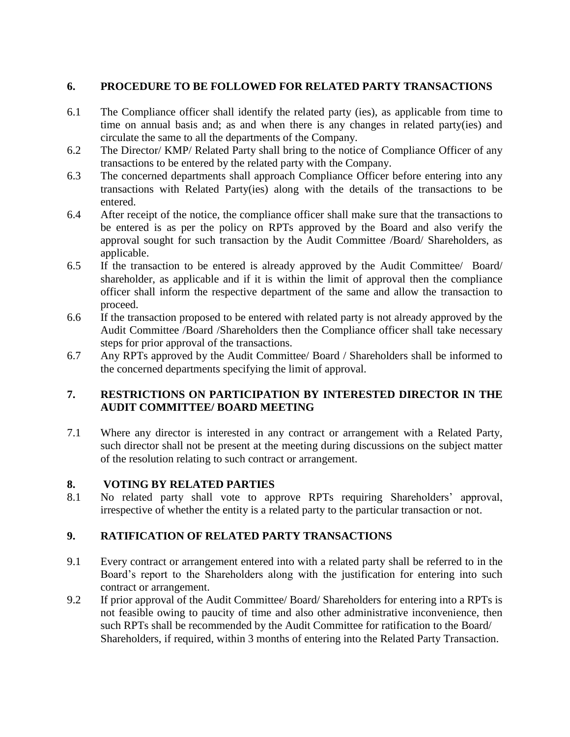## **6. PROCEDURE TO BE FOLLOWED FOR RELATED PARTY TRANSACTIONS**

- 6.1 The Compliance officer shall identify the related party (ies), as applicable from time to time on annual basis and; as and when there is any changes in related party(ies) and circulate the same to all the departments of the Company.
- 6.2 The Director/ KMP/ Related Party shall bring to the notice of Compliance Officer of any transactions to be entered by the related party with the Company.
- 6.3 The concerned departments shall approach Compliance Officer before entering into any transactions with Related Party(ies) along with the details of the transactions to be entered.
- 6.4 After receipt of the notice, the compliance officer shall make sure that the transactions to be entered is as per the policy on RPTs approved by the Board and also verify the approval sought for such transaction by the Audit Committee /Board/ Shareholders, as applicable.
- 6.5 If the transaction to be entered is already approved by the Audit Committee/ Board/ shareholder, as applicable and if it is within the limit of approval then the compliance officer shall inform the respective department of the same and allow the transaction to proceed.
- 6.6 If the transaction proposed to be entered with related party is not already approved by the Audit Committee /Board /Shareholders then the Compliance officer shall take necessary steps for prior approval of the transactions.
- 6.7 Any RPTs approved by the Audit Committee/ Board / Shareholders shall be informed to the concerned departments specifying the limit of approval.

## **7. RESTRICTIONS ON PARTICIPATION BY INTERESTED DIRECTOR IN THE AUDIT COMMITTEE/ BOARD MEETING**

7.1 Where any director is interested in any contract or arrangement with a Related Party, such director shall not be present at the meeting during discussions on the subject matter of the resolution relating to such contract or arrangement.

#### **8. VOTING BY RELATED PARTIES**

8.1 No related party shall vote to approve RPTs requiring Shareholders' approval, irrespective of whether the entity is a related party to the particular transaction or not.

#### **9. RATIFICATION OF RELATED PARTY TRANSACTIONS**

- 9.1 Every contract or arrangement entered into with a related party shall be referred to in the Board's report to the Shareholders along with the justification for entering into such contract or arrangement.
- 9.2 If prior approval of the Audit Committee/ Board/ Shareholders for entering into a RPTs is not feasible owing to paucity of time and also other administrative inconvenience, then such RPTs shall be recommended by the Audit Committee for ratification to the Board/ Shareholders, if required, within 3 months of entering into the Related Party Transaction.